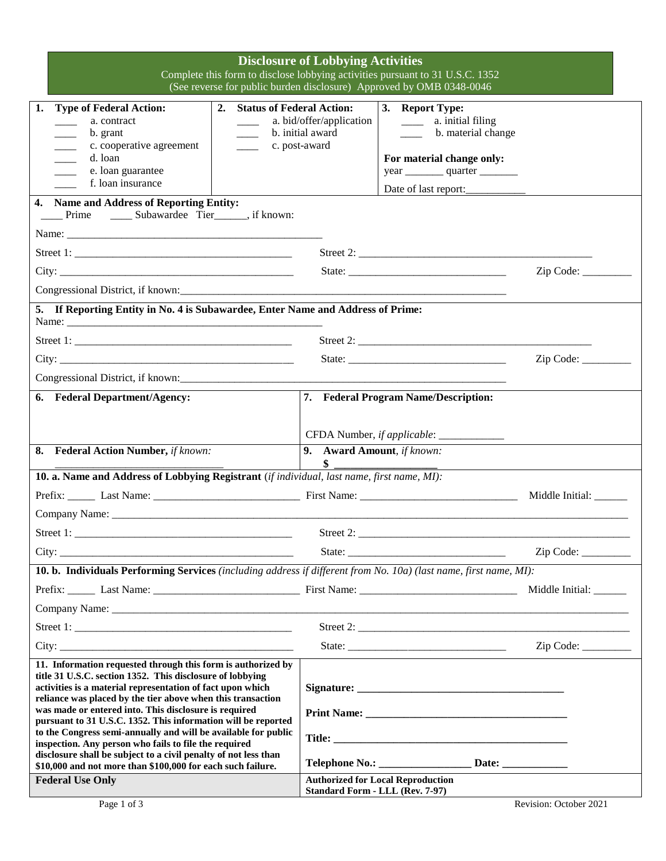| <b>Disclosure of Lobbying Activities</b><br>Complete this form to disclose lobbying activities pursuant to 31 U.S.C. 1352<br>(See reverse for public burden disclosure) Approved by OMB 0348-0046                                                      |                                                                                                                                                                                |                        |
|--------------------------------------------------------------------------------------------------------------------------------------------------------------------------------------------------------------------------------------------------------|--------------------------------------------------------------------------------------------------------------------------------------------------------------------------------|------------------------|
| 1.<br><b>Type of Federal Action:</b><br>2. Status of Federal Action:<br>a. contract<br>b. grant<br>c. cooperative agreement<br>d. loan<br>e. loan guarantee<br>f. loan insurance                                                                       | 3. Report Type:<br>a. bid/offer/application<br>a. initial filing<br>$\frac{1}{1}$<br>b. initial award<br>____ b. material change<br>c. post-award<br>For material change only: |                        |
| 4. Name and Address of Reporting Entity:<br>Prime ________ Subawardee Tier________, if known:                                                                                                                                                          |                                                                                                                                                                                |                        |
|                                                                                                                                                                                                                                                        |                                                                                                                                                                                |                        |
|                                                                                                                                                                                                                                                        |                                                                                                                                                                                | Zip Code:              |
|                                                                                                                                                                                                                                                        |                                                                                                                                                                                |                        |
|                                                                                                                                                                                                                                                        |                                                                                                                                                                                |                        |
| 5. If Reporting Entity in No. 4 is Subawardee, Enter Name and Address of Prime:                                                                                                                                                                        |                                                                                                                                                                                |                        |
|                                                                                                                                                                                                                                                        |                                                                                                                                                                                |                        |
|                                                                                                                                                                                                                                                        |                                                                                                                                                                                | Zip Code:              |
| Congressional District, if known:                                                                                                                                                                                                                      |                                                                                                                                                                                |                        |
| 6. Federal Department/Agency:                                                                                                                                                                                                                          | 7. Federal Program Name/Description:                                                                                                                                           |                        |
|                                                                                                                                                                                                                                                        |                                                                                                                                                                                |                        |
|                                                                                                                                                                                                                                                        | CFDA Number, if applicable: _____________                                                                                                                                      |                        |
| 8. Federal Action Number, if known:                                                                                                                                                                                                                    | 9. Award Amount, if known:                                                                                                                                                     |                        |
| \$<br>10. a. Name and Address of Lobbying Registrant (if individual, last name, first name, MI):                                                                                                                                                       |                                                                                                                                                                                |                        |
|                                                                                                                                                                                                                                                        |                                                                                                                                                                                | Middle Initial: ______ |
|                                                                                                                                                                                                                                                        |                                                                                                                                                                                |                        |
|                                                                                                                                                                                                                                                        |                                                                                                                                                                                |                        |
|                                                                                                                                                                                                                                                        |                                                                                                                                                                                |                        |
|                                                                                                                                                                                                                                                        |                                                                                                                                                                                | Zip Code:              |
| 10. b. Individuals Performing Services (including address if different from No. 10a) (last name, first name, MI):                                                                                                                                      |                                                                                                                                                                                |                        |
|                                                                                                                                                                                                                                                        |                                                                                                                                                                                | Middle Initial: ______ |
|                                                                                                                                                                                                                                                        |                                                                                                                                                                                |                        |
|                                                                                                                                                                                                                                                        |                                                                                                                                                                                |                        |
| City:                                                                                                                                                                                                                                                  |                                                                                                                                                                                | Zip Code:              |
| 11. Information requested through this form is authorized by<br>title 31 U.S.C. section 1352. This disclosure of lobbying<br>activities is a material representation of fact upon which<br>reliance was placed by the tier above when this transaction |                                                                                                                                                                                |                        |
| was made or entered into. This disclosure is required<br>pursuant to 31 U.S.C. 1352. This information will be reported                                                                                                                                 |                                                                                                                                                                                |                        |
| to the Congress semi-annually and will be available for public<br>inspection. Any person who fails to file the required                                                                                                                                |                                                                                                                                                                                |                        |
| disclosure shall be subject to a civil penalty of not less than<br>\$10,000 and not more than \$100,000 for each such failure.                                                                                                                         | Telephone No.: _________________________ Date: __________________________________                                                                                              |                        |
| <b>Federal Use Only</b>                                                                                                                                                                                                                                | <b>Authorized for Local Reproduction</b><br><b>Standard Form - LLL (Rev. 7-97)</b>                                                                                             |                        |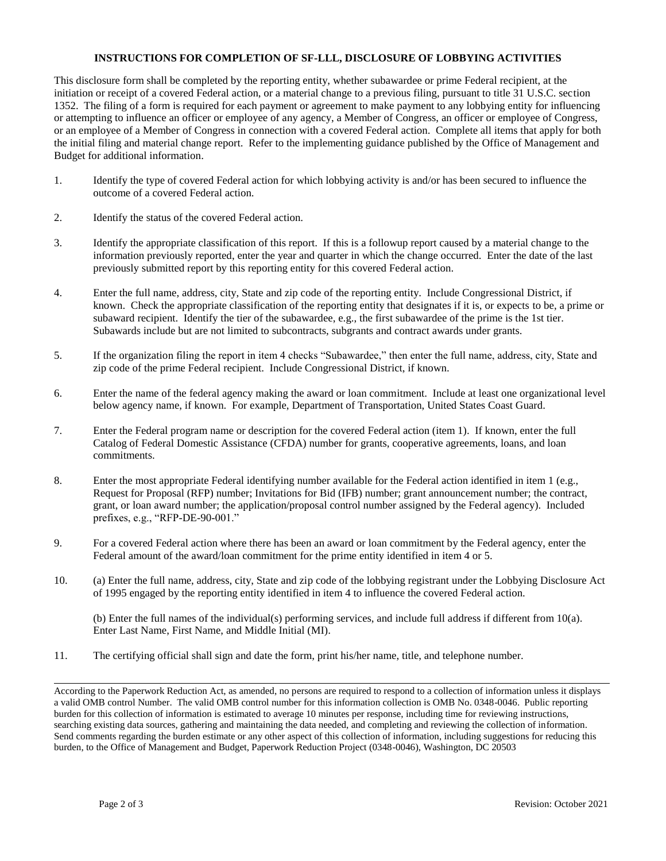## **INSTRUCTIONS FOR COMPLETION OF SF-LLL, DISCLOSURE OF LOBBYING ACTIVITIES**

This disclosure form shall be completed by the reporting entity, whether subawardee or prime Federal recipient, at the initiation or receipt of a covered Federal action, or a material change to a previous filing, pursuant to title 31 U.S.C. section 1352. The filing of a form is required for each payment or agreement to make payment to any lobbying entity for influencing or attempting to influence an officer or employee of any agency, a Member of Congress, an officer or employee of Congress, or an employee of a Member of Congress in connection with a covered Federal action. Complete all items that apply for both the initial filing and material change report. Refer to the implementing guidance published by the Office of Management and Budget for additional information.

- 1. Identify the type of covered Federal action for which lobbying activity is and/or has been secured to influence the outcome of a covered Federal action.
- 2. Identify the status of the covered Federal action.
- 3. Identify the appropriate classification of this report. If this is a followup report caused by a material change to the information previously reported, enter the year and quarter in which the change occurred. Enter the date of the last previously submitted report by this reporting entity for this covered Federal action.
- 4. Enter the full name, address, city, State and zip code of the reporting entity. Include Congressional District, if known. Check the appropriate classification of the reporting entity that designates if it is, or expects to be, a prime or subaward recipient. Identify the tier of the subawardee, e.g., the first subawardee of the prime is the 1st tier. Subawards include but are not limited to subcontracts, subgrants and contract awards under grants.
- 5. If the organization filing the report in item 4 checks "Subawardee," then enter the full name, address, city, State and zip code of the prime Federal recipient. Include Congressional District, if known.
- 6. Enter the name of the federal agency making the award or loan commitment. Include at least one organizational level below agency name, if known. For example, Department of Transportation, United States Coast Guard.
- 7. Enter the Federal program name or description for the covered Federal action (item 1). If known, enter the full Catalog of Federal Domestic Assistance (CFDA) number for grants, cooperative agreements, loans, and loan commitments.
- 8. Enter the most appropriate Federal identifying number available for the Federal action identified in item 1 (e.g., Request for Proposal (RFP) number; Invitations for Bid (IFB) number; grant announcement number; the contract, grant, or loan award number; the application/proposal control number assigned by the Federal agency). Included prefixes, e.g., "RFP-DE-90-001."
- 9. For a covered Federal action where there has been an award or loan commitment by the Federal agency, enter the Federal amount of the award/loan commitment for the prime entity identified in item 4 or 5.
- 10. (a) Enter the full name, address, city, State and zip code of the lobbying registrant under the Lobbying Disclosure Act of 1995 engaged by the reporting entity identified in item 4 to influence the covered Federal action.

(b) Enter the full names of the individual(s) performing services, and include full address if different from 10(a). Enter Last Name, First Name, and Middle Initial (MI).

11. The certifying official shall sign and date the form, print his/her name, title, and telephone number.

According to the Paperwork Reduction Act, as amended, no persons are required to respond to a collection of information unless it displays a valid OMB control Number. The valid OMB control number for this information collection is OMB No. 0348-0046. Public reporting burden for this collection of information is estimated to average 10 minutes per response, including time for reviewing instructions, searching existing data sources, gathering and maintaining the data needed, and completing and reviewing the collection of information. Send comments regarding the burden estimate or any other aspect of this collection of information, including suggestions for reducing this burden, to the Office of Management and Budget, Paperwork Reduction Project (0348-0046), Washington, DC 20503